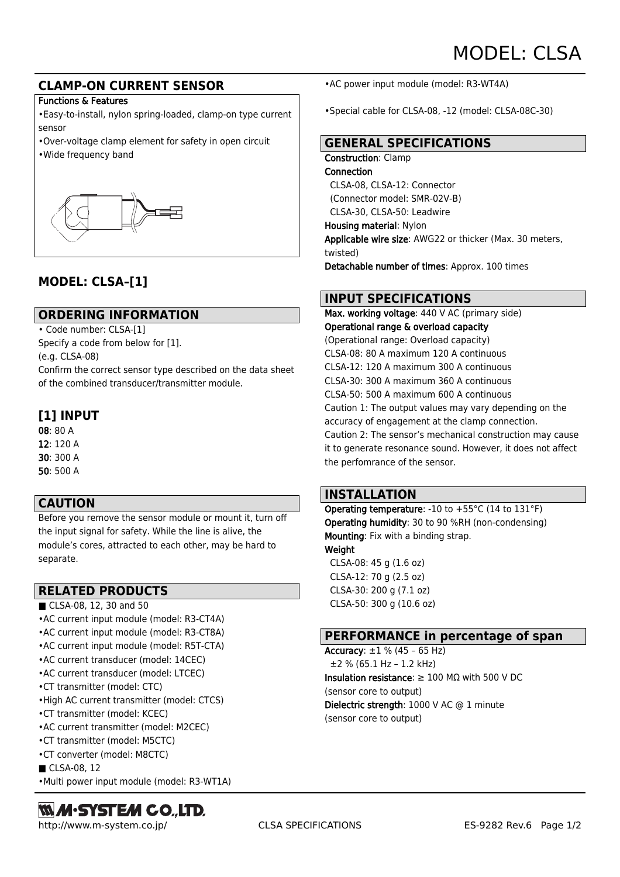## **CLAMP-ON CURRENT SENSOR**

#### Functions & Features

•Easy-to-install, nylon spring-loaded, clamp-on type current sensor

- •Over-voltage clamp element for safety in open circuit
- •Wide frequency band



# **MODEL: CLSA–[1]**

## **ORDERING INFORMATION**

• Code number: CLSA-[1]

Specify a code from below for [1]. (e.g. CLSA-08) Confirm the correct sensor type described on the data sheet of the combined transducer/transmitter module.

# **[1] INPUT**

08: 80 A 12: 120 A 30: 300 A 50: 500 A

## **CAUTION**

Before you remove the sensor module or mount it, turn off the input signal for safety. While the line is alive, the module's cores, attracted to each other, may be hard to separate.

## **RELATED PRODUCTS**

- CLSA-08, 12, 30 and 50
- •AC current input module (model: R3-CT4A)
- •AC current input module (model: R3-CT8A)
- •AC current input module (model: R5T-CTA)
- •AC current transducer (model: 14CEC)
- •AC current transducer (model: LTCEC)
- •CT transmitter (model: CTC)
- •High AC current transmitter (model: CTCS)
- •CT transmitter (model: KCEC)
- •AC current transmitter (model: M2CEC)
- •CT transmitter (model: M5CTC)
- •CT converter (model: M8CTC)
- CLSA-08, 12
- •Multi power input module (model: R3-WT1A)

# **MM·SYSTEM CO.,LTD.**

•AC power input module (model: R3-WT4A)

•Special cable for CLSA-08, -12 (model: CLSA-08C-30)

## **GENERAL SPECIFICATIONS**

#### Construction: Clamp

Connection CLSA-08, CLSA-12: Connector (Connector model: SMR-02V-B) CLSA-30, CLSA-50: Leadwire Housing material: Nylon Applicable wire size: AWG22 or thicker (Max. 30 meters, twisted) Detachable number of times: Approx. 100 times

## **INPUT SPECIFICATIONS**

Max. working voltage: 440 V AC (primary side) Operational range & overload capacity (Operational range: Overload capacity) CLSA-08: 80 A maximum 120 A continuous CLSA-12: 120 A maximum 300 A continuous CLSA-30: 300 A maximum 360 A continuous CLSA-50: 500 A maximum 600 A continuous Caution 1: The output values may vary depending on the accuracy of engagement at the clamp connection. Caution 2: The sensor's mechanical construction may cause it to generate resonance sound. However, it does not affect the perfomrance of the sensor.

## **INSTALLATION**

Operating temperature: -10 to +55°C (14 to 131°F) Operating humidity: 30 to 90 %RH (non-condensing) Mounting: Fix with a binding strap. Weight CLSA-08: 45 g (1.6 oz) CLSA-12: 70 g (2.5 oz)

 CLSA-30: 200 g (7.1 oz) CLSA-50: 300 g (10.6 oz)

## **PERFORMANCE in percentage of span**

Accuracy:  $\pm 1$  % (45 - 65 Hz) ±2 % (65.1 Hz – 1.2 kHz) Insulation resistance: ≥ 100 MΩ with 500 V DC (sensor core to output) Dielectric strength: 1000 V AC @ 1 minute (sensor core to output)